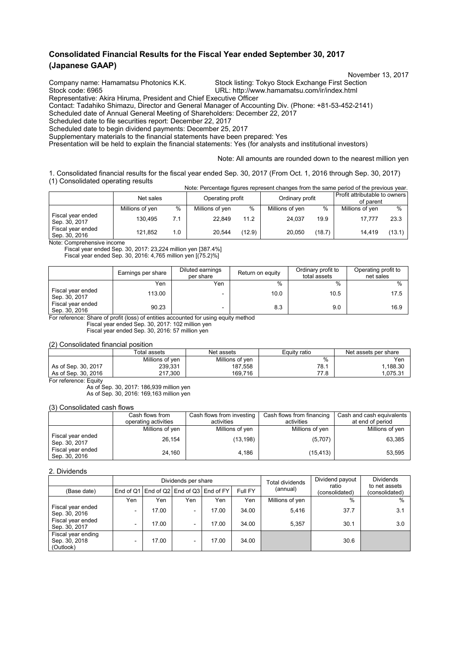## **Consolidated Financial Results for the Fiscal Year ended September 30, 2017 (Japanese GAAP)**

November 13, 2017

Company name: Hamamatsu Photonics K.K. Stock listing: Tokyo Stock Exchange First Section

Stock code: 6965 URL: http://www.hamamatsu.com/ir/index.html Representative: Akira Hiruma, President and Chief Executive Officer

Contact: Tadahiko Shimazu, Director and General Manager of Accounting Div. (Phone: +81-53-452-2141)

Scheduled date of Annual General Meeting of Shareholders: December 22, 2017

Scheduled date to file securities report: December 22, 2017

Scheduled date to begin dividend payments: December 25, 2017

Supplementary materials to the financial statements have been prepared: Yes

Presentation will be held to explain the financial statements: Yes (for analysts and institutional investors)

Note: All amounts are rounded down to the nearest million yen

1. Consolidated financial results for the fiscal year ended Sep. 30, 2017 (From Oct. 1, 2016 through Sep. 30, 2017) (1) Consolidated operating results Note: Percentage figures represent changes from the same period of the previous year.

|                                    | Net sales       |      | Operating profit |        | Ordinary profit |        | Profit attributable to owners<br>of parent |        |
|------------------------------------|-----------------|------|------------------|--------|-----------------|--------|--------------------------------------------|--------|
|                                    | Millions of yen | $\%$ | Millions of yen  | %      | Millions of yen | $\%$   | Millions of yen                            | $\%$   |
| Fiscal year ended<br>Sep. 30, 2017 | 130.495         | 7.1  | 22.849           | 11.2   | 24.037          | 19.9   | 17.777                                     | 23.3   |
| Fiscal year ended<br>Sep. 30, 2016 | 121.852         | 1.0  | 20.544           | (12.9) | 20.050          | (18.7) | 14.419                                     | (13.1) |

Note: Comprehensive income

Fiscal year ended Sep. 30, 2017: 23,224 million yen [387.4%]

Fiscal year ended Sep. 30, 2016: 4,765 million yen [(75.2)%]

|                                    | Earnings per share | Diluted earnings<br>per share | Return on equity | Ordinary profit to<br>total assets | Operating profit to<br>net sales |
|------------------------------------|--------------------|-------------------------------|------------------|------------------------------------|----------------------------------|
|                                    | Yen                | Yen                           | $\%$             | $\%$                               | %                                |
| Fiscal year ended<br>Sep. 30, 2017 | 113.00             | -                             | 10.0             | 10.5                               | 17.5                             |
| Fiscal year ended<br>Sep. 30, 2016 | 90.23              | -                             | 8.3              | 9.0                                | 16.9                             |

For reference: Share of profit (loss) of entities accounted for using equity method

Fiscal year ended Sep. 30, 2017: 102 million yen

Fiscal year ended Sep. 30, 2016: 57 million yen

(2) Consolidated financial position

|                     | Total assets    | Net assets      | Equity ratio | Net assets per share |
|---------------------|-----------------|-----------------|--------------|----------------------|
|                     | Millions of ven | Millions of yen | $\%$         | Yen                  |
| As of Sep. 30, 2017 | 239.331         | 187.558         | 78. .        | 1.188.30             |
| As of Sep. 30, 2016 | 217.300         | 169.716         | 77.8         | .075.31              |

For reference: Equity

As of Sep. 30, 2017: 186,939 million yen As of Sep. 30, 2016: 169,163 million yen

(3) Consolidated cash flows

|                                    | Cash flows from      | Cash flows from investing | Cash flows from financing | Cash and cash equivalents |
|------------------------------------|----------------------|---------------------------|---------------------------|---------------------------|
|                                    | operating activities | activities                | activities                | at end of period          |
|                                    | Millions of yen      | Millions of yen           | Millions of yen           | Millions of yen           |
| Fiscal year ended<br>Sep. 30, 2017 | 26.154               | (13, 198)                 | (5,707)                   | 63,385                    |
| Fiscal year ended<br>Sep. 30, 2016 | 24,160               | 4.186                     | (15, 413)                 | 53,595                    |

#### 2. Dividends

|                                                  |     |       | Dividends per share      |                                                     |         | Total dividends | Dividend payout<br>ratio | <b>Dividends</b><br>to net assets |
|--------------------------------------------------|-----|-------|--------------------------|-----------------------------------------------------|---------|-----------------|--------------------------|-----------------------------------|
| (Base date)                                      |     |       |                          | End of Q1 $ $ End of Q2 $ $ End of Q3 $ $ End of FY | Full FY | (annual)        | (consolidated)           | (consolidated)                    |
|                                                  | Yen | Yen   | Yen                      | Yen                                                 | Yen     | Millions of yen | $\%$                     | %                                 |
| Fiscal year ended<br>Sep. 30, 2016               |     | 17.00 | $\overline{\phantom{0}}$ | 17.00                                               | 34.00   | 5,416           | 37.7                     | 3.1                               |
| Fiscal year ended<br>Sep. 30, 2017               |     | 17.00 | $\overline{\phantom{0}}$ | 17.00                                               | 34.00   | 5.357           | 30.1                     | 3.0                               |
| Fiscal year ending<br>Sep. 30, 2018<br>(Outlook) |     | 17.00 | $\overline{\phantom{0}}$ | 17.00                                               | 34.00   |                 | 30.6                     |                                   |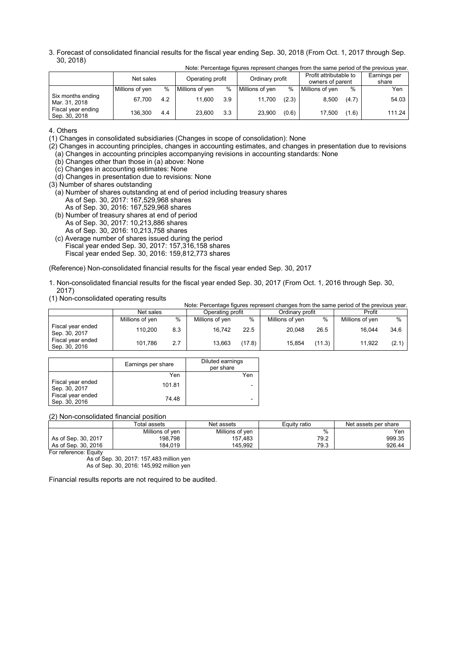3. Forecast of consolidated financial results for the fiscal year ending Sep. 30, 2018 (From Oct. 1, 2017 through Sep. 30, 2018)

|                                     | Net sales       |     | Operating profit |               | Ordinary profit |       | Profit attributable to<br>owners of parent |       | Earnings per<br>share |
|-------------------------------------|-----------------|-----|------------------|---------------|-----------------|-------|--------------------------------------------|-------|-----------------------|
|                                     | Millions of yen | %   | Millions of yen  | $\frac{0}{0}$ | Millions of yen | %     | Millions of yen                            | $\%$  | Yen                   |
| Six months ending<br>Mar. 31, 2018  | 67.700          | 4.2 | 11.600           | 3.9           | 11.700          | (2.3) | 8.500                                      | (4.7) | 54.03                 |
| Fiscal year ending<br>Sep. 30, 2018 | 136.300         | 4.4 | 23.600           | 3.3           | 23.900          | (0.6) | 17.500                                     | (1.6) | 111.24                |

Note: Percentage figures represent changes from the same period of the previous year.

4. Others

(1) Changes in consolidated subsidiaries (Changes in scope of consolidation): None

(2) Changes in accounting principles, changes in accounting estimates, and changes in presentation due to revisions (a) Changes in accounting principles accompanying revisions in accounting standards: None

(b) Changes other than those in (a) above: None

- (c) Changes in accounting estimates: None
- (d) Changes in presentation due to revisions: None
- (3) Number of shares outstanding
- (a) Number of shares outstanding at end of period including treasury shares As of Sep. 30, 2017: 167,529,968 shares
	- As of Sep. 30, 2016: 167,529,968 shares
- (b) Number of treasury shares at end of period As of Sep. 30, 2017: 10,213,886 shares As of Sep. 30, 2016: 10,213,758 shares
- (c) Average number of shares issued during the period Fiscal year ended Sep. 30, 2017: 157,316,158 shares Fiscal year ended Sep. 30, 2016: 159,812,773 shares

(Reference) Non-consolidated financial results for the fiscal year ended Sep. 30, 2017

- 1. Non-consolidated financial results for the fiscal year ended Sep. 30, 2017 (From Oct. 1, 2016 through Sep. 30, 2017)
- (1) Non-consolidated operating results

| .<br>Note: Percentage figures represent changes from the same period of the previous year. |                 |      |                  |        |                 |        |                 |               |  |
|--------------------------------------------------------------------------------------------|-----------------|------|------------------|--------|-----------------|--------|-----------------|---------------|--|
|                                                                                            | Net sales       |      | Operating profit |        | Ordinary profit |        | Profit          |               |  |
|                                                                                            | Millions of yen | $\%$ | Millions of yen  | $\%$   | Millions of yen | $\%$   | Millions of yen | $\frac{0}{0}$ |  |
| Fiscal year ended<br>Sep. 30, 2017                                                         | 110.200         | 8.3  | 16.742           | 22.5   | 20.048          | 26.5   | 16.044          | 34.6          |  |
| Fiscal year ended<br>Sep. 30, 2016                                                         | 101.786         | 2.7  | 13.663           | (17.8) | 15.854          | (11.3) | 11.922          | (2.1)         |  |

|                                    | Earnings per share | Diluted earnings<br>per share |
|------------------------------------|--------------------|-------------------------------|
|                                    | Yen                | Yen                           |
| Fiscal year ended<br>Sep. 30, 2017 | 101.81             |                               |
| Fiscal year ended<br>Sep. 30, 2016 | 74.48              |                               |

(2) Non-consolidated financial position

|                     | Total assets    | Net assets      | Equity ratio | Net assets per share |
|---------------------|-----------------|-----------------|--------------|----------------------|
|                     | Millions of ven | Millions of ven | %            | Yen                  |
| As of Sep. 30, 2017 | 198.798         | 157.483         | 79.2         | 999.35               |
| As of Sep. 30, 2016 | 184.019         | 145.992         | 79.3         | 926.44               |
|                     |                 |                 |              |                      |

For reference: Equity

As of Sep. 30, 2017: 157,483 million yen

As of Sep. 30, 2016: 145,992 million yen

Financial results reports are not required to be audited.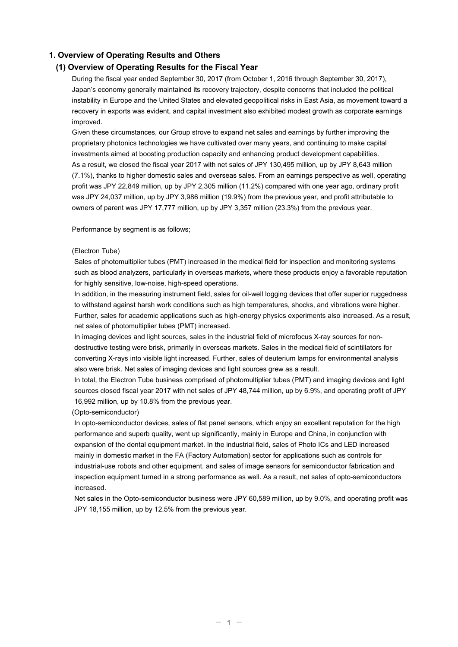### **1. Overview of Operating Results and Others**

### **(1) Overview of Operating Results for the Fiscal Year**

During the fiscal year ended September 30, 2017 (from October 1, 2016 through September 30, 2017), Japan's economy generally maintained its recovery trajectory, despite concerns that included the political instability in Europe and the United States and elevated geopolitical risks in East Asia, as movement toward a recovery in exports was evident, and capital investment also exhibited modest growth as corporate earnings improved.

Given these circumstances, our Group strove to expand net sales and earnings by further improving the proprietary photonics technologies we have cultivated over many years, and continuing to make capital investments aimed at boosting production capacity and enhancing product development capabilities. As a result, we closed the fiscal year 2017 with net sales of JPY 130,495 million, up by JPY 8,643 million (7.1%), thanks to higher domestic sales and overseas sales. From an earnings perspective as well, operating profit was JPY 22,849 million, up by JPY 2,305 million (11.2%) compared with one year ago, ordinary profit was JPY 24,037 million, up by JPY 3,986 million (19.9%) from the previous year, and profit attributable to owners of parent was JPY 17,777 million, up by JPY 3,357 million (23.3%) from the previous year.

Performance by segment is as follows;

### (Electron Tube)

Sales of photomultiplier tubes (PMT) increased in the medical field for inspection and monitoring systems such as blood analyzers, particularly in overseas markets, where these products enjoy a favorable reputation for highly sensitive, low-noise, high-speed operations.

In addition, in the measuring instrument field, sales for oil-well logging devices that offer superior ruggedness to withstand against harsh work conditions such as high temperatures, shocks, and vibrations were higher. Further, sales for academic applications such as high-energy physics experiments also increased. As a result, net sales of photomultiplier tubes (PMT) increased.

In imaging devices and light sources, sales in the industrial field of microfocus X-ray sources for nondestructive testing were brisk, primarily in overseas markets. Sales in the medical field of scintillators for converting X-rays into visible light increased. Further, sales of deuterium lamps for environmental analysis also were brisk. Net sales of imaging devices and light sources grew as a result.

In total, the Electron Tube business comprised of photomultiplier tubes (PMT) and imaging devices and light sources closed fiscal year 2017 with net sales of JPY 48,744 million, up by 6.9%, and operating profit of JPY 16,992 million, up by 10.8% from the previous year.

#### (Opto-semiconductor)

In opto-semiconductor devices, sales of flat panel sensors, which enjoy an excellent reputation for the high performance and superb quality, went up significantly, mainly in Europe and China, in conjunction with expansion of the dental equipment market. In the industrial field, sales of Photo ICs and LED increased mainly in domestic market in the FA (Factory Automation) sector for applications such as controls for industrial-use robots and other equipment, and sales of image sensors for semiconductor fabrication and inspection equipment turned in a strong performance as well. As a result, net sales of opto-semiconductors increased.

Net sales in the Opto-semiconductor business were JPY 60,589 million, up by 9.0%, and operating profit was JPY 18,155 million, up by 12.5% from the previous year.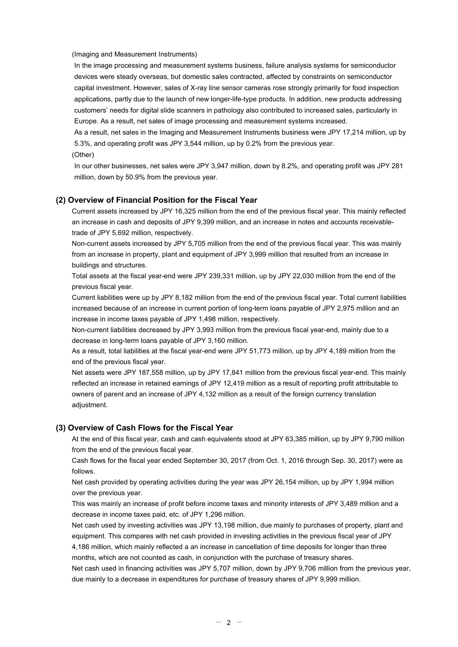(Imaging and Measurement Instruments)

In the image processing and measurement systems business, failure analysis systems for semiconductor devices were steady overseas, but domestic sales contracted, affected by constraints on semiconductor capital investment. However, sales of X-ray line sensor cameras rose strongly primarily for food inspection applications, partly due to the launch of new longer-life-type products. In addition, new products addressing customers' needs for digital slide scanners in pathology also contributed to increased sales, particularly in Europe. As a result, net sales of image processing and measurement systems increased.

As a result, net sales in the Imaging and Measurement Instruments business were JPY 17,214 million, up by 5.3%, and operating profit was JPY 3,544 million, up by 0.2% from the previous year.

(Other)

In our other businesses, net sales were JPY 3,947 million, down by 8.2%, and operating profit was JPY 281 million, down by 50.9% from the previous year.

### **(2) Overview of Financial Position for the Fiscal Year**

Current assets increased by JPY 16,325 million from the end of the previous fiscal year. This mainly reflected an increase in cash and deposits of JPY 9,399 million, and an increase in notes and accounts receivabletrade of JPY 5,692 million, respectively.

Non-current assets increased by JPY 5,705 million from the end of the previous fiscal year. This was mainly from an increase in property, plant and equipment of JPY 3,999 million that resulted from an increase in buildings and structures.

Total assets at the fiscal year-end were JPY 239,331 million, up by JPY 22,030 million from the end of the previous fiscal year.

Current liabilities were up by JPY 8,182 million from the end of the previous fiscal year. Total current liabilities increased because of an increase in current portion of long-term loans payable of JPY 2,975 million and an increase in income taxes payable of JPY 1,498 million, respectively.

Non-current liabilities decreased by JPY 3,993 million from the previous fiscal year-end, mainly due to a decrease in long-term loans payable of JPY 3,160 million.

As a result, total liabilities at the fiscal year-end were JPY 51,773 million, up by JPY 4,189 million from the end of the previous fiscal year.

Net assets were JPY 187,558 million, up by JPY 17,841 million from the previous fiscal year-end. This mainly reflected an increase in retained earnings of JPY 12,419 million as a result of reporting profit attributable to owners of parent and an increase of JPY 4,132 million as a result of the foreign currency translation adjustment.

#### **(3) Overview of Cash Flows for the Fiscal Year**

At the end of this fiscal year, cash and cash equivalents stood at JPY 63,385 million, up by JPY 9,790 million from the end of the previous fiscal year.

Cash flows for the fiscal year ended September 30, 2017 (from Oct. 1, 2016 through Sep. 30, 2017) were as follows.

Net cash provided by operating activities during the year was JPY 26,154 million, up by JPY 1,994 million over the previous year.

This was mainly an increase of profit before income taxes and minority interests of JPY 3,489 million and a decrease in income taxes paid, etc. of JPY 1,296 million.

Net cash used by investing activities was JPY 13,198 million, due mainly to purchases of property, plant and equipment. This compares with net cash provided in investing activities in the previous fiscal year of JPY 4,186 million, which mainly reflected a an increase in cancellation of time deposits for longer than three months, which are not counted as cash, in conjunction with the purchase of treasury shares.

Net cash used in financing activities was JPY 5,707 million, down by JPY 9,706 million from the previous year, due mainly to a decrease in expenditures for purchase of treasury shares of JPY 9,999 million.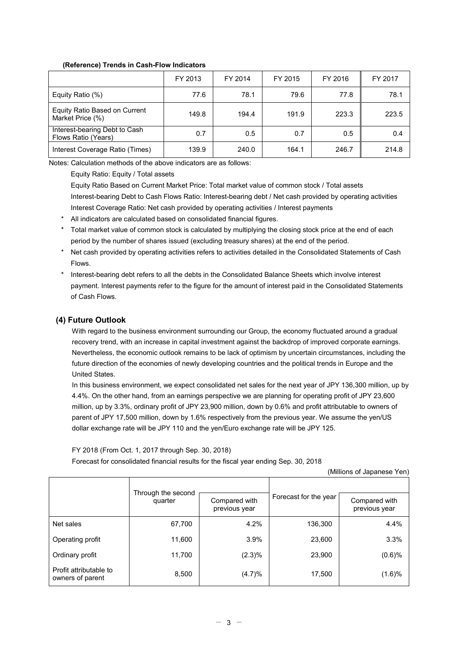#### **(Reference) Trends in Cash-Flow Indicators**

|                                                      | FY 2013 | FY 2014 | FY 2015 | FY 2016 | FY 2017 |
|------------------------------------------------------|---------|---------|---------|---------|---------|
| Equity Ratio (%)                                     | 77.6    | 78.1    | 79.6    | 77.8    | 78.1    |
| Equity Ratio Based on Current<br>Market Price (%)    | 149.8   | 194.4   | 191.9   | 223.3   | 223.5   |
| Interest-bearing Debt to Cash<br>Flows Ratio (Years) | 0.7     | 0.5     | 0.7     | 0.5     | 0.4     |
| Interest Coverage Ratio (Times)                      | 139.9   | 240.0   | 164.1   | 246.7   | 214.8   |

Notes: Calculation methods of the above indicators are as follows:

Equity Ratio: Equity / Total assets

Equity Ratio Based on Current Market Price: Total market value of common stock / Total assets Interest-bearing Debt to Cash Flows Ratio: Interest-bearing debt / Net cash provided by operating activities Interest Coverage Ratio: Net cash provided by operating activities / Interest payments

- All indicators are calculated based on consolidated financial figures.
- Total market value of common stock is calculated by multiplying the closing stock price at the end of each period by the number of shares issued (excluding treasury shares) at the end of the period.
- \* Net cash provided by operating activities refers to activities detailed in the Consolidated Statements of Cash Flows.
- Interest-bearing debt refers to all the debts in the Consolidated Balance Sheets which involve interest payment. Interest payments refer to the figure for the amount of interest paid in the Consolidated Statements of Cash Flows.

## **(4) Future Outlook**

With regard to the business environment surrounding our Group, the economy fluctuated around a gradual recovery trend, with an increase in capital investment against the backdrop of improved corporate earnings. Nevertheless, the economic outlook remains to be lack of optimism by uncertain circumstances, including the future direction of the economies of newly developing countries and the political trends in Europe and the United States.

In this business environment, we expect consolidated net sales for the next year of JPY 136,300 million, up by 4.4%. On the other hand, from an earnings perspective we are planning for operating profit of JPY 23,600 million, up by 3.3%, ordinary profit of JPY 23,900 million, down by 0.6% and profit attributable to owners of parent of JPY 17,500 million, down by 1.6% respectively from the previous year. We assume the yen/US dollar exchange rate will be JPY 110 and the yen/Euro exchange rate will be JPY 125.

FY 2018 (From Oct. 1, 2017 through Sep. 30, 2018)

Forecast for consolidated financial results for the fiscal year ending Sep. 30, 2018

 (Millions of Japanese Yen) Through the second gri the second<br>quarter compared with Forecast for the year previous year Compared with previous year Net sales | 67,700 | 4.2% | 136,300 | 4.4% Operating profit 11,600 3.9% 23,600 3.3% Ordinary profit 11,700 (2.3)% 23,900 (0.6)% Profit attributable to owners of parent  $8,500$  (4.7)% 17,500 (1.6)%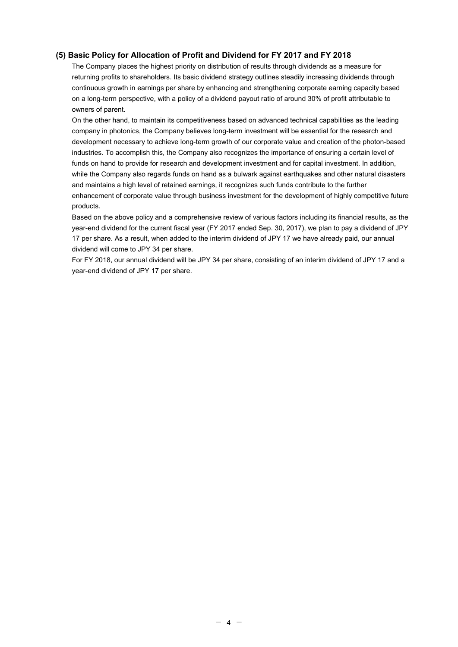### **(5) Basic Policy for Allocation of Profit and Dividend for FY 2017 and FY 2018**

The Company places the highest priority on distribution of results through dividends as a measure for returning profits to shareholders. Its basic dividend strategy outlines steadily increasing dividends through continuous growth in earnings per share by enhancing and strengthening corporate earning capacity based on a long-term perspective, with a policy of a dividend payout ratio of around 30% of profit attributable to owners of parent.

On the other hand, to maintain its competitiveness based on advanced technical capabilities as the leading company in photonics, the Company believes long-term investment will be essential for the research and development necessary to achieve long-term growth of our corporate value and creation of the photon-based industries. To accomplish this, the Company also recognizes the importance of ensuring a certain level of funds on hand to provide for research and development investment and for capital investment. In addition, while the Company also regards funds on hand as a bulwark against earthquakes and other natural disasters and maintains a high level of retained earnings, it recognizes such funds contribute to the further enhancement of corporate value through business investment for the development of highly competitive future products.

Based on the above policy and a comprehensive review of various factors including its financial results, as the year-end dividend for the current fiscal year (FY 2017 ended Sep. 30, 2017), we plan to pay a dividend of JPY 17 per share. As a result, when added to the interim dividend of JPY 17 we have already paid, our annual dividend will come to JPY 34 per share.

For FY 2018, our annual dividend will be JPY 34 per share, consisting of an interim dividend of JPY 17 and a year-end dividend of JPY 17 per share.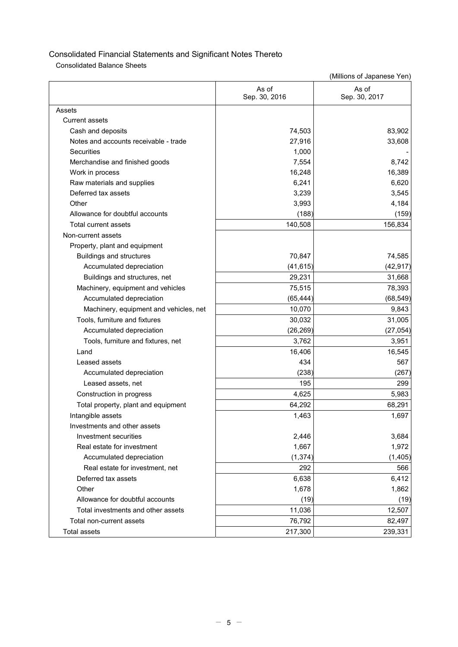Consolidated Balance Sheets

|                                        | As of<br>Sep. 30, 2016 | As of<br>Sep. 30, 2017 |
|----------------------------------------|------------------------|------------------------|
| Assets                                 |                        |                        |
| Current assets                         |                        |                        |
| Cash and deposits                      | 74,503                 | 83,902                 |
| Notes and accounts receivable - trade  | 27,916                 | 33,608                 |
| Securities                             | 1,000                  |                        |
| Merchandise and finished goods         | 7,554                  | 8,742                  |
| Work in process                        | 16,248                 | 16,389                 |
| Raw materials and supplies             | 6,241                  | 6,620                  |
| Deferred tax assets                    | 3,239                  | 3,545                  |
| Other                                  | 3,993                  | 4,184                  |
| Allowance for doubtful accounts        | (188)                  | (159)                  |
| <b>Total current assets</b>            | 140,508                | 156,834                |
| Non-current assets                     |                        |                        |
| Property, plant and equipment          |                        |                        |
| Buildings and structures               | 70,847                 | 74,585                 |
| Accumulated depreciation               | (41, 615)              | (42, 917)              |
| Buildings and structures, net          | 29,231                 | 31,668                 |
| Machinery, equipment and vehicles      | 75,515                 | 78,393                 |
| Accumulated depreciation               | (65, 444)              | (68, 549)              |
| Machinery, equipment and vehicles, net | 10,070                 | 9,843                  |
| Tools, furniture and fixtures          | 30,032                 | 31,005                 |
| Accumulated depreciation               | (26, 269)              | (27, 054)              |
| Tools, furniture and fixtures, net     | 3,762                  | 3,951                  |
| Land                                   | 16,406                 | 16,545                 |
| Leased assets                          | 434                    | 567                    |
| Accumulated depreciation               | (238)                  | (267)                  |
| Leased assets, net                     | 195                    | 299                    |
| Construction in progress               | 4,625                  | 5,983                  |
| Total property, plant and equipment    | 64,292                 | 68,291                 |
| Intangible assets                      | 1,463                  | 1,697                  |
| Investments and other assets           |                        |                        |
| Investment securities                  | 2,446                  | 3,684                  |
| Real estate for investment             | 1,667                  | 1,972                  |
| Accumulated depreciation               | (1, 374)               | (1, 405)               |
| Real estate for investment, net        | 292                    | 566                    |
| Deferred tax assets                    | 6,638                  | 6,412                  |
| Other                                  | 1,678                  | 1,862                  |
| Allowance for doubtful accounts        | (19)                   | (19)                   |
| Total investments and other assets     | 11,036                 | 12,507                 |
| Total non-current assets               | 76,792                 | 82,497                 |
| <b>Total assets</b>                    | 217,300                | 239,331                |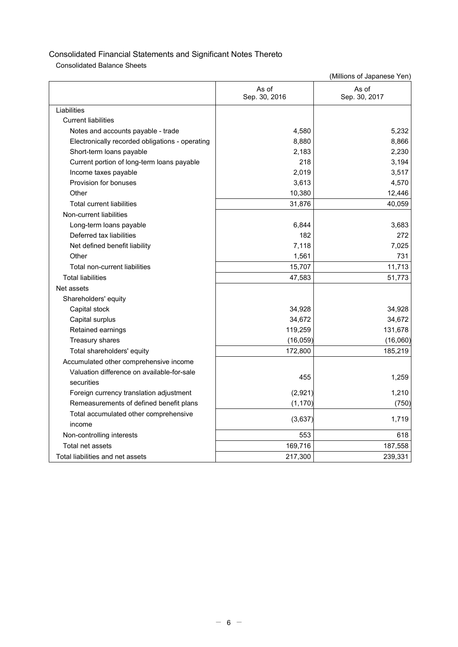Consolidated Balance Sheets

|                                                 | As of<br>Sep. 30, 2016 | As of<br>Sep. 30, 2017 |
|-------------------------------------------------|------------------------|------------------------|
| Liabilities                                     |                        |                        |
| <b>Current liabilities</b>                      |                        |                        |
| Notes and accounts payable - trade              | 4,580                  | 5,232                  |
| Electronically recorded obligations - operating | 8,880                  | 8,866                  |
| Short-term loans payable                        | 2,183                  | 2,230                  |
| Current portion of long-term loans payable      | 218                    | 3,194                  |
| Income taxes payable                            | 2,019                  | 3,517                  |
| Provision for bonuses                           | 3,613                  | 4,570                  |
| Other                                           | 10,380                 | 12,446                 |
| <b>Total current liabilities</b>                | 31,876                 | 40,059                 |
| Non-current liabilities                         |                        |                        |
| Long-term loans payable                         | 6,844                  | 3,683                  |
| Deferred tax liabilities                        | 182                    | 272                    |
| Net defined benefit liability                   | 7,118                  | 7,025                  |
| Other                                           | 1,561                  | 731                    |
| <b>Total non-current liabilities</b>            | 15,707                 | 11,713                 |
| <b>Total liabilities</b>                        | 47,583                 | 51,773                 |
| Net assets                                      |                        |                        |
| Shareholders' equity                            |                        |                        |
| Capital stock                                   | 34,928                 | 34,928                 |
| Capital surplus                                 | 34,672                 | 34,672                 |
| Retained earnings                               | 119,259                | 131,678                |
| Treasury shares                                 | (16, 059)              | (16,060)               |
| Total shareholders' equity                      | 172,800                | 185,219                |
| Accumulated other comprehensive income          |                        |                        |
| Valuation difference on available-for-sale      |                        |                        |
| securities                                      | 455                    | 1,259                  |
| Foreign currency translation adjustment         | (2,921)                | 1,210                  |
| Remeasurements of defined benefit plans         | (1, 170)               | (750)                  |
| Total accumulated other comprehensive           |                        |                        |
| income                                          | (3,637)                | 1,719                  |
| Non-controlling interests                       | 553                    | 618                    |
| Total net assets                                | 169,716                | 187,558                |
| Total liabilities and net assets                | 217,300                | 239,331                |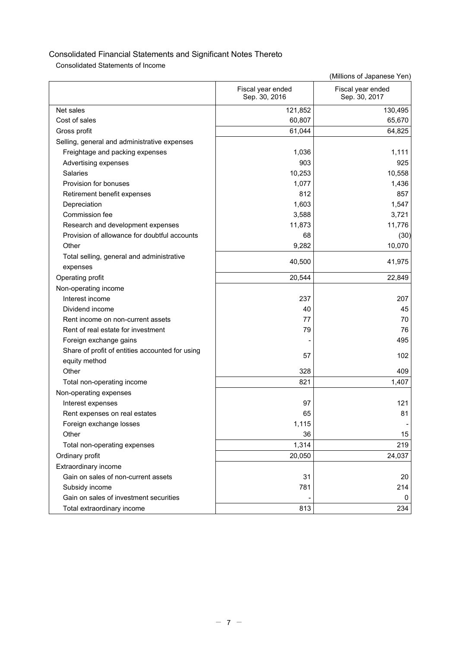Consolidated Statements of Income

|                                                 | Fiscal year ended<br>Sep. 30, 2016 | Fiscal year ended<br>Sep. 30, 2017 |
|-------------------------------------------------|------------------------------------|------------------------------------|
| Net sales                                       | 121,852                            | 130,495                            |
| Cost of sales                                   | 60,807                             | 65,670                             |
| Gross profit                                    | 61,044                             | 64,825                             |
| Selling, general and administrative expenses    |                                    |                                    |
| Freightage and packing expenses                 | 1,036                              | 1,111                              |
| Advertising expenses                            | 903                                | 925                                |
| Salaries                                        | 10,253                             | 10,558                             |
| Provision for bonuses                           | 1,077                              | 1,436                              |
| Retirement benefit expenses                     | 812                                | 857                                |
| Depreciation                                    | 1,603                              | 1,547                              |
| Commission fee                                  | 3,588                              | 3,721                              |
| Research and development expenses               | 11,873                             | 11,776                             |
| Provision of allowance for doubtful accounts    | 68                                 | (30)                               |
| Other                                           | 9,282                              | 10,070                             |
| Total selling, general and administrative       | 40,500                             |                                    |
| expenses                                        |                                    | 41,975                             |
| Operating profit                                | 20,544                             | 22,849                             |
| Non-operating income                            |                                    |                                    |
| Interest income                                 | 237                                | 207                                |
| Dividend income                                 | 40                                 | 45                                 |
| Rent income on non-current assets               | 77                                 | 70                                 |
| Rent of real estate for investment              | 79                                 | 76                                 |
| Foreign exchange gains                          |                                    | 495                                |
| Share of profit of entities accounted for using | 57                                 | 102                                |
| equity method                                   |                                    |                                    |
| Other                                           | 328                                | 409                                |
| Total non-operating income                      | 821                                | 1,407                              |
| Non-operating expenses                          |                                    |                                    |
| Interest expenses                               | 97                                 | 121                                |
| Rent expenses on real estates                   | 65                                 | 81                                 |
| Foreign exchange losses                         | 1,115                              |                                    |
| Other                                           | 36                                 | 15                                 |
| Total non-operating expenses                    | 1,314                              | 219                                |
| Ordinary profit                                 | 20,050                             | 24,037                             |
| Extraordinary income                            |                                    |                                    |
| Gain on sales of non-current assets             | 31                                 | 20                                 |
| Subsidy income                                  | 781                                | 214                                |
| Gain on sales of investment securities          |                                    | 0                                  |
| Total extraordinary income                      | 813                                | 234                                |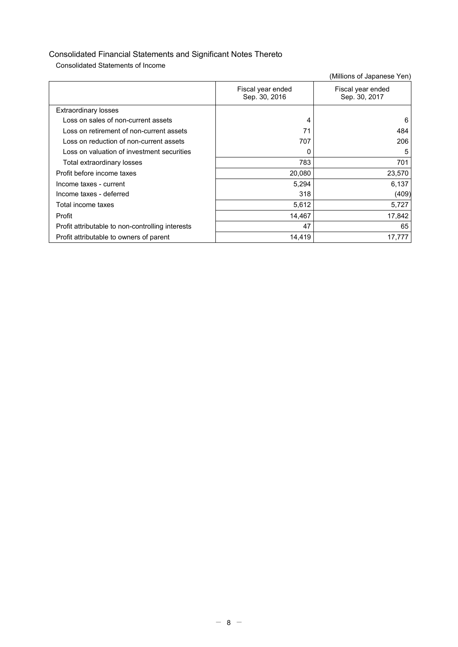Consolidated Statements of Income

|                                                  | Fiscal year ended<br>Sep. 30, 2016 | Fiscal year ended<br>Sep. 30, 2017 |
|--------------------------------------------------|------------------------------------|------------------------------------|
| <b>Extraordinary losses</b>                      |                                    |                                    |
| Loss on sales of non-current assets              | 4                                  | 6                                  |
| Loss on retirement of non-current assets         | 71                                 | 484                                |
| Loss on reduction of non-current assets          | 707                                | 206                                |
| Loss on valuation of investment securities       |                                    | 5                                  |
| Total extraordinary losses                       | 783                                | 701                                |
| Profit before income taxes                       | 20,080                             | 23,570                             |
| Income taxes - current                           | 5,294                              | 6,137                              |
| Income taxes - deferred                          | 318                                | (409)                              |
| Total income taxes                               | 5,612                              | 5,727                              |
| Profit                                           | 14,467                             | 17,842                             |
| Profit attributable to non-controlling interests | 47                                 | 65                                 |
| Profit attributable to owners of parent          | 14,419                             | 17,777                             |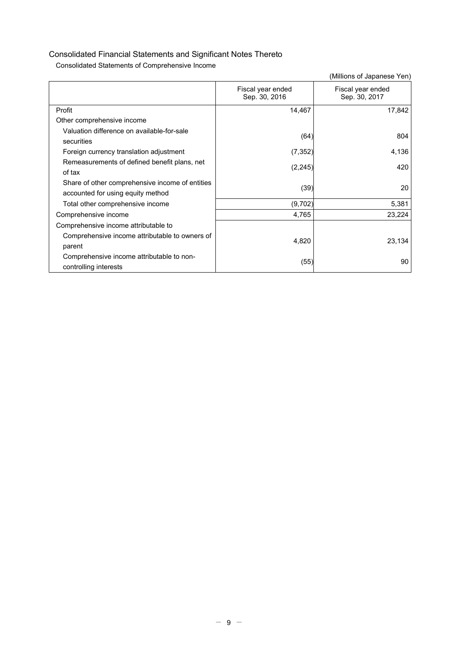Consolidated Statements of Comprehensive Income

|                                                                                      | Fiscal year ended<br>Sep. 30, 2016 | Fiscal year ended<br>Sep. 30, 2017 |
|--------------------------------------------------------------------------------------|------------------------------------|------------------------------------|
| Profit                                                                               | 14,467                             | 17,842                             |
| Other comprehensive income                                                           |                                    |                                    |
| Valuation difference on available-for-sale<br>securities                             | (64)                               | 804                                |
| Foreign currency translation adjustment                                              | (7, 352)                           | 4,136                              |
| Remeasurements of defined benefit plans, net<br>of tax                               | (2, 245)                           | 420                                |
| Share of other comprehensive income of entities<br>accounted for using equity method | (39)                               | 20                                 |
| Total other comprehensive income                                                     | (9,702)                            | 5,381                              |
| Comprehensive income                                                                 | 4,765                              | 23,224                             |
| Comprehensive income attributable to                                                 |                                    |                                    |
| Comprehensive income attributable to owners of<br>parent                             | 4,820                              | 23,134                             |
| Comprehensive income attributable to non-<br>controlling interests                   | (55)                               | 90                                 |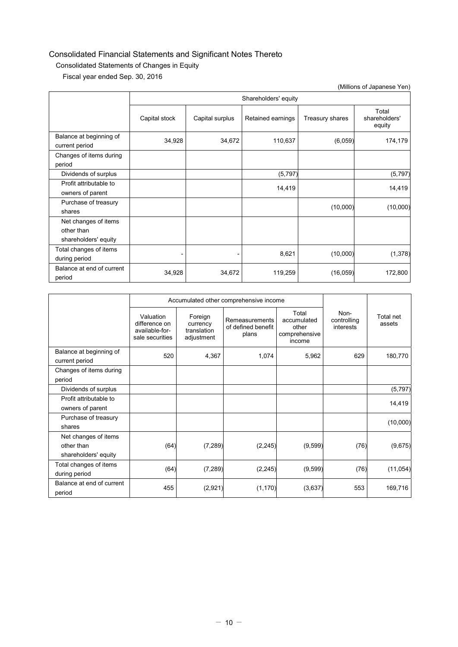## Consolidated Statements of Changes in Equity

Fiscal year ended Sep. 30, 2016

|                                            | Shareholders' equity |                 |                   |                 |                                  |  |  |
|--------------------------------------------|----------------------|-----------------|-------------------|-----------------|----------------------------------|--|--|
|                                            |                      |                 |                   |                 |                                  |  |  |
|                                            | Capital stock        | Capital surplus | Retained earnings | Treasury shares | Total<br>shareholders'<br>equity |  |  |
| Balance at beginning of<br>current period  | 34,928               | 34,672          | 110,637           | (6,059)         | 174,179                          |  |  |
| Changes of items during<br>period          |                      |                 |                   |                 |                                  |  |  |
| Dividends of surplus                       |                      |                 | (5,797)           |                 | (5, 797)                         |  |  |
| Profit attributable to<br>owners of parent |                      |                 | 14,419            |                 | 14,419                           |  |  |
| Purchase of treasury<br>shares             |                      |                 |                   | (10,000)        | (10,000)                         |  |  |
| Net changes of items                       |                      |                 |                   |                 |                                  |  |  |
| other than                                 |                      |                 |                   |                 |                                  |  |  |
| shareholders' equity                       |                      |                 |                   |                 |                                  |  |  |
| Total changes of items<br>during period    |                      |                 | 8,621             | (10,000)        | (1, 378)                         |  |  |
| Balance at end of current<br>period        | 34,928               | 34,672          | 119,259           | (16, 059)       | 172,800                          |  |  |

|                                                            |                                                                 | Accumulated other comprehensive income           |                                               |                                                          |                                    |                     |
|------------------------------------------------------------|-----------------------------------------------------------------|--------------------------------------------------|-----------------------------------------------|----------------------------------------------------------|------------------------------------|---------------------|
|                                                            | Valuation<br>difference on<br>available-for-<br>sale securities | Foreign<br>currency<br>translation<br>adjustment | Remeasurements<br>of defined benefit<br>plans | Total<br>accumulated<br>other<br>comprehensive<br>income | $Non-$<br>controlling<br>interests | Total net<br>assets |
| Balance at beginning of<br>current period                  | 520                                                             | 4,367                                            | 1,074                                         | 5,962                                                    | 629                                | 180,770             |
| Changes of items during<br>period                          |                                                                 |                                                  |                                               |                                                          |                                    |                     |
| Dividends of surplus                                       |                                                                 |                                                  |                                               |                                                          |                                    | (5, 797)            |
| Profit attributable to<br>owners of parent                 |                                                                 |                                                  |                                               |                                                          |                                    | 14,419              |
| Purchase of treasury<br>shares                             |                                                                 |                                                  |                                               |                                                          |                                    | (10,000)            |
| Net changes of items<br>other than<br>shareholders' equity | (64)                                                            | (7, 289)                                         | (2, 245)                                      | (9,599)                                                  | (76)                               | (9,675)             |
| Total changes of items<br>during period                    | (64)                                                            | (7, 289)                                         | (2, 245)                                      | (9,599)                                                  | (76)                               | (11, 054)           |
| Balance at end of current<br>period                        | 455                                                             | (2,921)                                          | (1, 170)                                      | (3,637)                                                  | 553                                | 169,716             |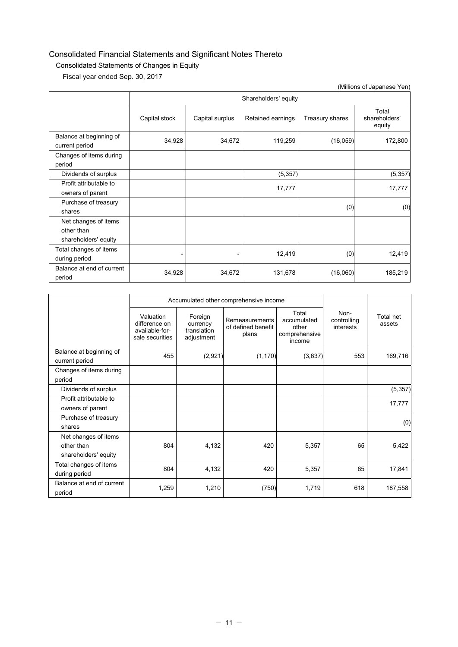## Consolidated Statements of Changes in Equity

Fiscal year ended Sep. 30, 2017

|                                                            |               | Shareholders' equity |                   |                 |                                  |  |  |
|------------------------------------------------------------|---------------|----------------------|-------------------|-----------------|----------------------------------|--|--|
|                                                            | Capital stock | Capital surplus      | Retained earnings | Treasury shares | Total<br>shareholders'<br>equity |  |  |
| Balance at beginning of<br>current period                  | 34,928        | 34,672               | 119,259           | (16, 059)       | 172,800                          |  |  |
| Changes of items during<br>period                          |               |                      |                   |                 |                                  |  |  |
| Dividends of surplus                                       |               |                      | (5, 357)          |                 | (5, 357)                         |  |  |
| Profit attributable to<br>owners of parent                 |               |                      | 17,777            |                 | 17,777                           |  |  |
| Purchase of treasury<br>shares                             |               |                      |                   | (0)             | (0)                              |  |  |
| Net changes of items<br>other than<br>shareholders' equity |               |                      |                   |                 |                                  |  |  |
| Total changes of items<br>during period                    |               |                      | 12,419            | (0)             | 12,419                           |  |  |
| Balance at end of current<br>period                        | 34,928        | 34,672               | 131,678           | (16,060)        | 185,219                          |  |  |

|                                                            |                                                                 | Accumulated other comprehensive income           |                                               |                                                          |                                    |                     |
|------------------------------------------------------------|-----------------------------------------------------------------|--------------------------------------------------|-----------------------------------------------|----------------------------------------------------------|------------------------------------|---------------------|
|                                                            | Valuation<br>difference on<br>available-for-<br>sale securities | Foreign<br>currency<br>translation<br>adjustment | Remeasurements<br>of defined benefit<br>plans | Total<br>accumulated<br>other<br>comprehensive<br>income | $Non-$<br>controlling<br>interests | Total net<br>assets |
| Balance at beginning of<br>current period                  | 455                                                             | (2,921)                                          | (1, 170)                                      | (3,637)                                                  | 553                                | 169,716             |
| Changes of items during<br>period                          |                                                                 |                                                  |                                               |                                                          |                                    |                     |
| Dividends of surplus                                       |                                                                 |                                                  |                                               |                                                          |                                    | (5, 357)            |
| Profit attributable to<br>owners of parent                 |                                                                 |                                                  |                                               |                                                          |                                    | 17,777              |
| Purchase of treasury<br>shares                             |                                                                 |                                                  |                                               |                                                          |                                    | (0)                 |
| Net changes of items<br>other than<br>shareholders' equity | 804                                                             | 4,132                                            | 420                                           | 5,357                                                    | 65                                 | 5,422               |
| Total changes of items<br>during period                    | 804                                                             | 4,132                                            | 420                                           | 5,357                                                    | 65                                 | 17,841              |
| Balance at end of current<br>period                        | 1,259                                                           | 1,210                                            | (750)                                         | 1,719                                                    | 618                                | 187,558             |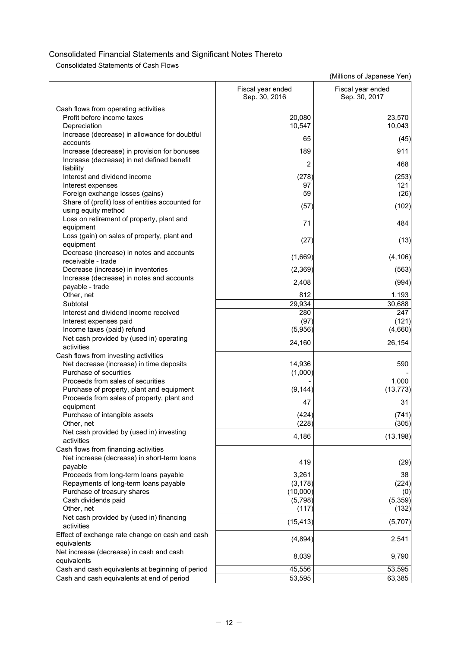Consolidated Statements of Cash Flows

|                                                        | Fiscal year ended<br>Sep. 30, 2016 | Fiscal year ended<br>Sep. 30, 2017 |
|--------------------------------------------------------|------------------------------------|------------------------------------|
| Cash flows from operating activities                   |                                    |                                    |
| Profit before income taxes                             | 20,080                             | 23,570                             |
| Depreciation                                           | 10,547                             | 10,043                             |
| Increase (decrease) in allowance for doubtful          | 65                                 | (45)                               |
| accounts                                               |                                    |                                    |
| Increase (decrease) in provision for bonuses           | 189                                | 911                                |
| Increase (decrease) in net defined benefit             | 2                                  | 468                                |
| liability                                              |                                    |                                    |
| Interest and dividend income                           | (278)                              | (253)                              |
| Interest expenses                                      | 97                                 | 121                                |
| Foreign exchange losses (gains)                        | 59                                 | (26)                               |
| Share of (profit) loss of entities accounted for       | (57)                               | (102)                              |
| using equity method                                    |                                    |                                    |
| Loss on retirement of property, plant and<br>equipment | 71                                 | 484                                |
| Loss (gain) on sales of property, plant and            |                                    |                                    |
| equipment                                              | (27)                               | (13)                               |
| Decrease (increase) in notes and accounts              |                                    |                                    |
| receivable - trade                                     | (1,669)                            | (4, 106)                           |
| Decrease (increase) in inventories                     | (2, 369)                           | (563)                              |
| Increase (decrease) in notes and accounts              |                                    |                                    |
| payable - trade                                        | 2,408                              | (994)                              |
| Other, net                                             | 812                                | 1,193                              |
| Subtotal                                               | 29,934                             | 30,688                             |
| Interest and dividend income received                  | 280                                | 247                                |
| Interest expenses paid                                 | (97)                               | (121)                              |
| Income taxes (paid) refund                             | (5,956)                            | (4,660)                            |
| Net cash provided by (used in) operating               |                                    |                                    |
| activities                                             | 24,160                             | 26,154                             |
| Cash flows from investing activities                   |                                    |                                    |
| Net decrease (increase) in time deposits               | 14,936                             | 590                                |
| Purchase of securities                                 | (1,000)                            |                                    |
| Proceeds from sales of securities                      |                                    | 1,000                              |
| Purchase of property, plant and equipment              | (9, 144)                           | (13, 773)                          |
| Proceeds from sales of property, plant and             | 47                                 | 31                                 |
| equipment                                              |                                    |                                    |
| Purchase of intangible assets                          | (424)                              | (741)                              |
| Other. net                                             | (228)                              | (305)                              |
| Net cash provided by (used in) investing               | 4,186                              | (13, 198)                          |
| activities                                             |                                    |                                    |
| Cash flows from financing activities                   |                                    |                                    |
| Net increase (decrease) in short-term loans            | 419                                | (29)                               |
| payable<br>Proceeds from long-term loans payable       | 3,261                              | 38                                 |
| Repayments of long-term loans payable                  | (3, 178)                           | (224)                              |
| Purchase of treasury shares                            | (10,000)                           | (0)                                |
| Cash dividends paid                                    | (5,798)                            | (5, 359)                           |
| Other, net                                             | (117)                              | (132)                              |
| Net cash provided by (used in) financing               |                                    |                                    |
| activities                                             | (15, 413)                          | (5,707)                            |
| Effect of exchange rate change on cash and cash        |                                    |                                    |
| equivalents                                            | (4,894)                            | 2,541                              |
| Net increase (decrease) in cash and cash               |                                    |                                    |
| equivalents                                            | 8,039                              | 9,790                              |
| Cash and cash equivalents at beginning of period       | 45,556                             | 53,595                             |
| Cash and cash equivalents at end of period             | 53,595                             | 63,385                             |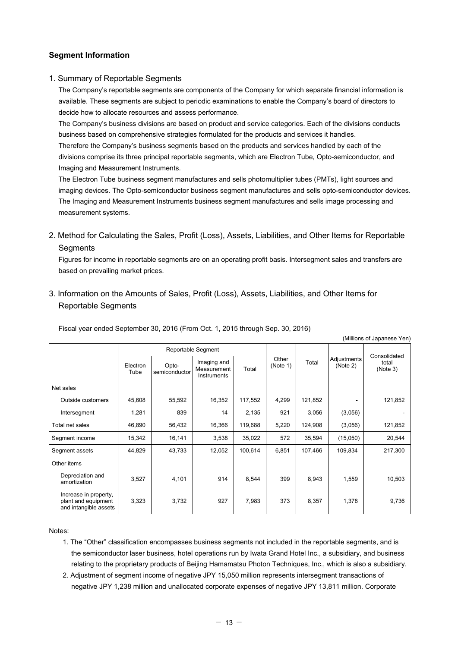## **Segment Information**

### 1. Summary of Reportable Segments

The Company's reportable segments are components of the Company for which separate financial information is available. These segments are subject to periodic examinations to enable the Company's board of directors to decide how to allocate resources and assess performance.

The Company's business divisions are based on product and service categories. Each of the divisions conducts business based on comprehensive strategies formulated for the products and services it handles.

Therefore the Company's business segments based on the products and services handled by each of the divisions comprise its three principal reportable segments, which are Electron Tube, Opto-semiconductor, and Imaging and Measurement Instruments.

The Electron Tube business segment manufactures and sells photomultiplier tubes (PMTs), light sources and imaging devices. The Opto-semiconductor business segment manufactures and sells opto-semiconductor devices. The Imaging and Measurement Instruments business segment manufactures and sells image processing and measurement systems.

2. Method for Calculating the Sales, Profit (Loss), Assets, Liabilities, and Other Items for Reportable **Segments** 

Figures for income in reportable segments are on an operating profit basis. Intersegment sales and transfers are based on prevailing market prices.

(Millions of Japanese Yen)

3. Information on the Amounts of Sales, Profit (Loss), Assets, Liabilities, and Other Items for Reportable Segments

| (Millions of advanced Terr)                                           |                                   |        |                                           |         |                   |         |                         |                   |
|-----------------------------------------------------------------------|-----------------------------------|--------|-------------------------------------------|---------|-------------------|---------|-------------------------|-------------------|
|                                                                       | Reportable Segment                |        |                                           |         |                   |         |                         | Consolidated      |
|                                                                       | Electron<br>Tube<br>semiconductor |        | Imaging and<br>Measurement<br>Instruments | Total   | Other<br>(Note 1) | Total   | Adjustments<br>(Note 2) | total<br>(Note 3) |
| Net sales                                                             |                                   |        |                                           |         |                   |         |                         |                   |
| Outside customers                                                     | 45,608                            | 55,592 | 16,352                                    | 117,552 | 4,299             | 121,852 |                         | 121,852           |
| Intersegment                                                          | 1,281                             | 839    | 14                                        | 2,135   | 921               | 3,056   | (3,056)                 |                   |
| Total net sales                                                       | 46,890                            | 56,432 | 16,366                                    | 119,688 | 5,220             | 124,908 | (3,056)                 | 121,852           |
| Segment income                                                        | 15,342                            | 16,141 | 3,538                                     | 35,022  | 572               | 35,594  | (15,050)                | 20,544            |
| Segment assets                                                        | 44,829                            | 43,733 | 12,052                                    | 100,614 | 6,851             | 107,466 | 109,834                 | 217,300           |
| Other items                                                           |                                   |        |                                           |         |                   |         |                         |                   |
| Depreciation and<br>amortization                                      | 3,527                             | 4,101  | 914                                       | 8,544   | 399               | 8,943   | 1,559                   | 10,503            |
| Increase in property,<br>plant and equipment<br>and intangible assets | 3,323                             | 3,732  | 927                                       | 7,983   | 373               | 8,357   | 1,378                   | 9,736             |

Fiscal year ended September 30, 2016 (From Oct. 1, 2015 through Sep. 30, 2016)

Notes:

- 1. The "Other" classification encompasses business segments not included in the reportable segments, and is the semiconductor laser business, hotel operations run by Iwata Grand Hotel Inc., a subsidiary, and business relating to the proprietary products of Beijing Hamamatsu Photon Techniques, Inc., which is also a subsidiary.
- 2. Adjustment of segment income of negative JPY 15,050 million represents intersegment transactions of negative JPY 1,238 million and unallocated corporate expenses of negative JPY 13,811 million. Corporate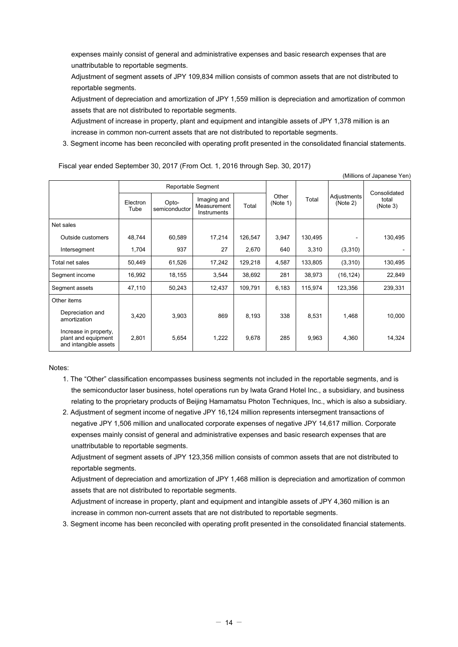expenses mainly consist of general and administrative expenses and basic research expenses that are unattributable to reportable segments.

Adjustment of segment assets of JPY 109,834 million consists of common assets that are not distributed to reportable segments.

Adjustment of depreciation and amortization of JPY 1,559 million is depreciation and amortization of common assets that are not distributed to reportable segments.

Adjustment of increase in property, plant and equipment and intangible assets of JPY 1,378 million is an increase in common non-current assets that are not distributed to reportable segments.

3. Segment income has been reconciled with operating profit presented in the consolidated financial statements.

(Millions of Japanese Yen)

Fiscal year ended September 30, 2017 (From Oct. 1, 2016 through Sep. 30, 2017)

|                                                                       | Reportable Segment |                        |                                           |         |                            |         |                         |                                   |
|-----------------------------------------------------------------------|--------------------|------------------------|-------------------------------------------|---------|----------------------------|---------|-------------------------|-----------------------------------|
|                                                                       | Electron<br>Tube   | Opto-<br>semiconductor | Imaging and<br>Measurement<br>Instruments | Total   | Other<br>Total<br>(Note 1) |         | Adjustments<br>(Note 2) | Consolidated<br>total<br>(Note 3) |
| Net sales                                                             |                    |                        |                                           |         |                            |         |                         |                                   |
| Outside customers                                                     | 48,744             | 60,589                 | 17,214                                    | 126,547 | 3,947                      | 130,495 |                         | 130,495                           |
| Intersegment                                                          | 1,704              | 937                    | 27                                        | 2,670   | 640                        | 3,310   | (3,310)                 |                                   |
| Total net sales                                                       | 50,449             | 61,526                 | 17,242                                    | 129,218 | 4,587                      | 133,805 | (3,310)                 | 130,495                           |
| Segment income                                                        | 16,992             | 18,155                 | 3,544                                     | 38,692  | 281                        | 38,973  | (16, 124)               | 22,849                            |
| Segment assets                                                        | 47,110             | 50,243                 | 12,437                                    | 109,791 | 6,183                      | 115,974 | 123,356                 | 239,331                           |
| Other items                                                           |                    |                        |                                           |         |                            |         |                         |                                   |
| Depreciation and<br>amortization                                      | 3,420              | 3,903                  | 869                                       | 8,193   | 338                        | 8,531   | 1,468                   | 10,000                            |
| Increase in property,<br>plant and equipment<br>and intangible assets | 2,801              | 5,654                  | 1,222                                     | 9,678   | 285                        | 9,963   | 4,360                   | 14,324                            |

#### Notes:

- 1. The "Other" classification encompasses business segments not included in the reportable segments, and is the semiconductor laser business, hotel operations run by Iwata Grand Hotel Inc., a subsidiary, and business relating to the proprietary products of Beijing Hamamatsu Photon Techniques, Inc., which is also a subsidiary.
- 2. Adjustment of segment income of negative JPY 16,124 million represents intersegment transactions of negative JPY 1,506 million and unallocated corporate expenses of negative JPY 14,617 million. Corporate expenses mainly consist of general and administrative expenses and basic research expenses that are unattributable to reportable segments.

Adjustment of segment assets of JPY 123,356 million consists of common assets that are not distributed to reportable segments.

Adjustment of depreciation and amortization of JPY 1,468 million is depreciation and amortization of common assets that are not distributed to reportable segments.

Adjustment of increase in property, plant and equipment and intangible assets of JPY 4,360 million is an increase in common non-current assets that are not distributed to reportable segments.

3. Segment income has been reconciled with operating profit presented in the consolidated financial statements.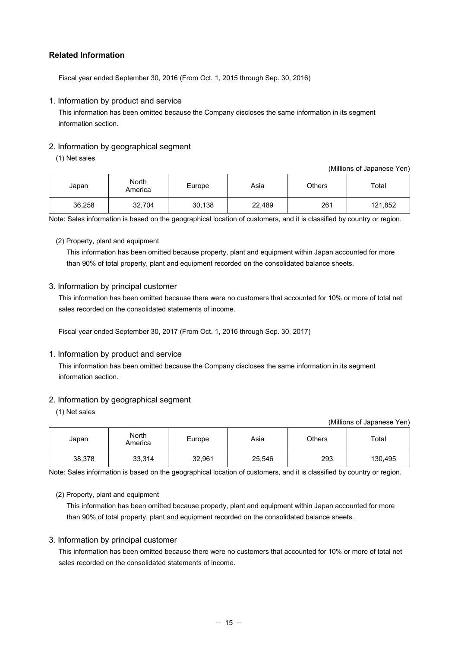## **Related Information**

Fiscal year ended September 30, 2016 (From Oct. 1, 2015 through Sep. 30, 2016)

### 1. Information by product and service

This information has been omitted because the Company discloses the same information in its segment information section.

### 2. Information by geographical segment

### (1) Net sales

(Millions of Japanese Yen)

| Japan  | North<br>America | Europe | Asia   | Others | Total   |
|--------|------------------|--------|--------|--------|---------|
| 36,258 | 32,704           | 30,138 | 22,489 | 261    | 121,852 |

Note: Sales information is based on the geographical location of customers, and it is classified by country or region.

#### (2) Property, plant and equipment

This information has been omitted because property, plant and equipment within Japan accounted for more than 90% of total property, plant and equipment recorded on the consolidated balance sheets.

#### 3. Information by principal customer

This information has been omitted because there were no customers that accounted for 10% or more of total net sales recorded on the consolidated statements of income.

Fiscal year ended September 30, 2017 (From Oct. 1, 2016 through Sep. 30, 2017)

#### 1. Information by product and service

This information has been omitted because the Company discloses the same information in its segment information section.

#### 2. Information by geographical segment

(1) Net sales

(Millions of Japanese Yen)

| Japan  | North<br>America | Europe | Asia   | <b>Others</b> | Total   |
|--------|------------------|--------|--------|---------------|---------|
| 38,378 | 33,314           | 32,961 | 25,546 | 293           | 130,495 |

Note: Sales information is based on the geographical location of customers, and it is classified by country or region.

#### (2) Property, plant and equipment

This information has been omitted because property, plant and equipment within Japan accounted for more than 90% of total property, plant and equipment recorded on the consolidated balance sheets.

#### 3. Information by principal customer

This information has been omitted because there were no customers that accounted for 10% or more of total net sales recorded on the consolidated statements of income.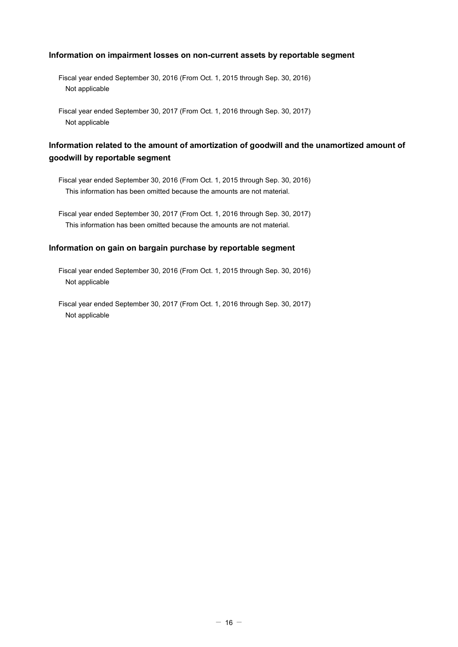### **Information on impairment losses on non-current assets by reportable segment**

Fiscal year ended September 30, 2016 (From Oct. 1, 2015 through Sep. 30, 2016) Not applicable

Fiscal year ended September 30, 2017 (From Oct. 1, 2016 through Sep. 30, 2017) Not applicable

# **Information related to the amount of amortization of goodwill and the unamortized amount of goodwill by reportable segment**

Fiscal year ended September 30, 2016 (From Oct. 1, 2015 through Sep. 30, 2016) This information has been omitted because the amounts are not material.

Fiscal year ended September 30, 2017 (From Oct. 1, 2016 through Sep. 30, 2017) This information has been omitted because the amounts are not material.

### **Information on gain on bargain purchase by reportable segment**

Fiscal year ended September 30, 2016 (From Oct. 1, 2015 through Sep. 30, 2016) Not applicable

Fiscal year ended September 30, 2017 (From Oct. 1, 2016 through Sep. 30, 2017) Not applicable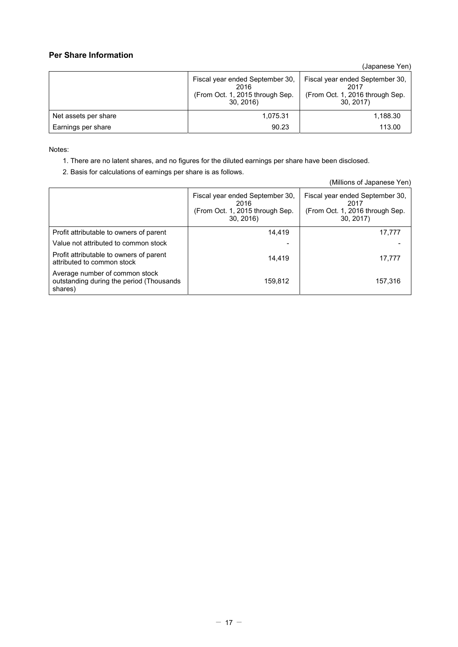## **Per Share Information**

(Japanese Yen)

|                      | Fiscal year ended September 30,<br>2016<br>(From Oct. 1, 2015 through Sep.<br>30.2016 | Fiscal year ended September 30,<br>2017<br>(From Oct. 1, 2016 through Sep.<br>30.2017 |
|----------------------|---------------------------------------------------------------------------------------|---------------------------------------------------------------------------------------|
| Net assets per share | 1,075.31                                                                              | 1,188.30                                                                              |
| Earnings per share   | 90.23                                                                                 | 113.00                                                                                |

Notes:

- 1. There are no latent shares, and no figures for the diluted earnings per share have been disclosed.
- 2. Basis for calculations of earnings per share is as follows.

|                                                                                       |                                                                                        | (Millions of Japanese Yen)                                                             |
|---------------------------------------------------------------------------------------|----------------------------------------------------------------------------------------|----------------------------------------------------------------------------------------|
|                                                                                       | Fiscal year ended September 30,<br>2016<br>(From Oct. 1, 2015 through Sep.<br>30, 2016 | Fiscal year ended September 30,<br>2017<br>(From Oct. 1, 2016 through Sep.<br>30, 2017 |
| Profit attributable to owners of parent                                               | 14.419                                                                                 | 17,777                                                                                 |
| Value not attributed to common stock                                                  |                                                                                        |                                                                                        |
| Profit attributable to owners of parent<br>attributed to common stock                 | 14.419                                                                                 | 17,777                                                                                 |
| Average number of common stock<br>outstanding during the period (Thousands<br>shares) | 159,812                                                                                | 157,316                                                                                |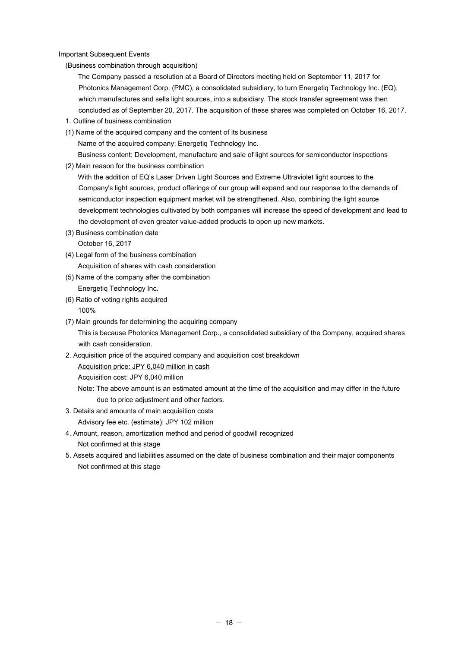Important Subsequent Events

(Business combination through acquisition)

The Company passed a resolution at a Board of Directors meeting held on September 11, 2017 for Photonics Management Corp. (PMC), a consolidated subsidiary, to turn Energetiq Technology Inc. (EQ), which manufactures and sells light sources, into a subsidiary. The stock transfer agreement was then concluded as of September 20, 2017. The acquisition of these shares was completed on October 16, 2017.

- 1. Outline of business combination
- (1) Name of the acquired company and the content of its business

Name of the acquired company: Energetiq Technology Inc.

Business content: Development, manufacture and sale of light sources for semiconductor inspections (2) Main reason for the business combination

With the addition of EQ's Laser Driven Light Sources and Extreme Ultraviolet light sources to the Company's light sources, product offerings of our group will expand and our response to the demands of semiconductor inspection equipment market will be strengthened. Also, combining the light source development technologies cultivated by both companies will increase the speed of development and lead to

the development of even greater value-added products to open up new markets.

- (3) Business combination date October 16, 2017
- (4) Legal form of the business combination Acquisition of shares with cash consideration
- (5) Name of the company after the combination Energetiq Technology Inc.
- (6) Ratio of voting rights acquired

100%

(7) Main grounds for determining the acquiring company This is because Photonics Management Corp., a consolidated subsidiary of the Company, acquired shares with cash consideration.

2. Acquisition price of the acquired company and acquisition cost breakdown

Acquisition price: JPY 6,040 million in cash

Acquisition cost: JPY 6,040 million

Note: The above amount is an estimated amount at the time of the acquisition and may differ in the future due to price adjustment and other factors.

- 3. Details and amounts of main acquisition costs
	- Advisory fee etc. (estimate): JPY 102 million
- 4. Amount, reason, amortization method and period of goodwill recognized

Not confirmed at this stage

5. Assets acquired and liabilities assumed on the date of business combination and their major components Not confirmed at this stage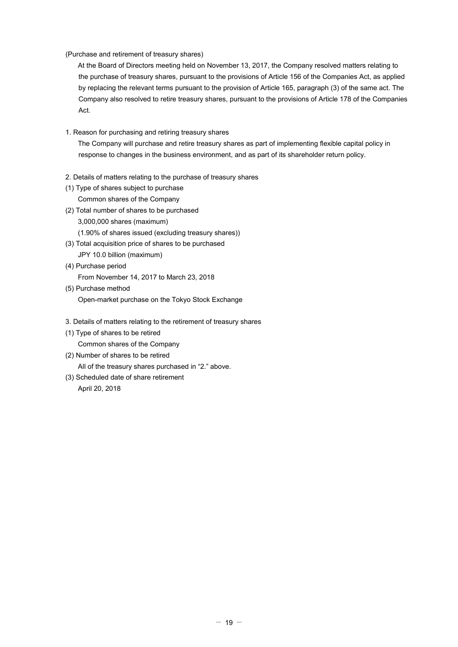(Purchase and retirement of treasury shares)

At the Board of Directors meeting held on November 13, 2017, the Company resolved matters relating to the purchase of treasury shares, pursuant to the provisions of Article 156 of the Companies Act, as applied by replacing the relevant terms pursuant to the provision of Article 165, paragraph (3) of the same act. The Company also resolved to retire treasury shares, pursuant to the provisions of Article 178 of the Companies Act.

- 1. Reason for purchasing and retiring treasury shares The Company will purchase and retire treasury shares as part of implementing flexible capital policy in response to changes in the business environment, and as part of its shareholder return policy.
- 2. Details of matters relating to the purchase of treasury shares
- (1) Type of shares subject to purchase Common shares of the Company
- (2) Total number of shares to be purchased
	- 3,000,000 shares (maximum)
	- (1.90% of shares issued (excluding treasury shares))
- (3) Total acquisition price of shares to be purchased
- JPY 10.0 billion (maximum) (4) Purchase period
	- From November 14, 2017 to March 23, 2018
- (5) Purchase method Open-market purchase on the Tokyo Stock Exchange
- 3. Details of matters relating to the retirement of treasury shares
- (1) Type of shares to be retired Common shares of the Company
- (2) Number of shares to be retired All of the treasury shares purchased in "2." above.
- (3) Scheduled date of share retirement April 20, 2018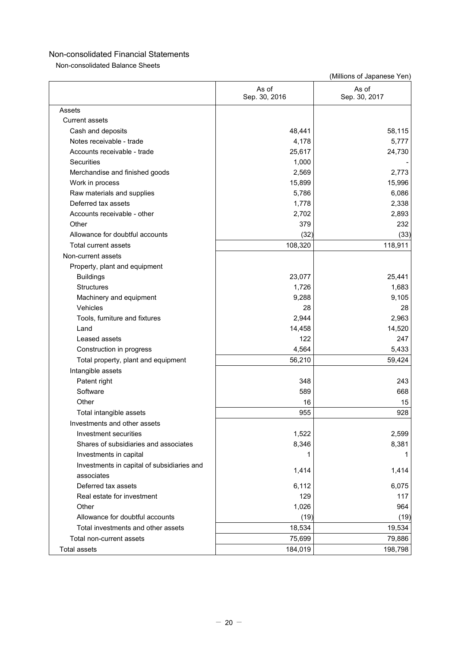Non-consolidated Balance Sheets

|                                            | As of<br>Sep. 30, 2016 | As of<br>Sep. 30, 2017 |
|--------------------------------------------|------------------------|------------------------|
| Assets                                     |                        |                        |
| <b>Current assets</b>                      |                        |                        |
| Cash and deposits                          | 48,441                 | 58,115                 |
| Notes receivable - trade                   | 4,178                  | 5,777                  |
| Accounts receivable - trade                | 25,617                 | 24,730                 |
| Securities                                 | 1,000                  |                        |
| Merchandise and finished goods             | 2,569                  | 2,773                  |
| Work in process                            | 15,899                 | 15,996                 |
| Raw materials and supplies                 | 5,786                  | 6,086                  |
| Deferred tax assets                        | 1,778                  | 2,338                  |
| Accounts receivable - other                | 2,702                  | 2,893                  |
| Other                                      | 379                    | 232                    |
| Allowance for doubtful accounts            | (32)                   | (33)                   |
| <b>Total current assets</b>                | 108,320                | 118,911                |
| Non-current assets                         |                        |                        |
| Property, plant and equipment              |                        |                        |
| <b>Buildings</b>                           | 23,077                 | 25,441                 |
| <b>Structures</b>                          | 1,726                  | 1,683                  |
| Machinery and equipment                    | 9,288                  | 9,105                  |
| Vehicles                                   | 28                     | 28                     |
| Tools, furniture and fixtures              | 2,944                  | 2,963                  |
| Land                                       | 14,458                 | 14,520                 |
| Leased assets                              | 122                    | 247                    |
| Construction in progress                   | 4,564                  | 5,433                  |
| Total property, plant and equipment        | 56,210                 | 59,424                 |
| Intangible assets                          |                        |                        |
| Patent right                               | 348                    | 243                    |
| Software                                   | 589                    | 668                    |
| Other                                      | 16                     | 15                     |
| Total intangible assets                    | 955                    | 928                    |
| Investments and other assets               |                        |                        |
| Investment securities                      | 1,522                  | 2,599                  |
| Shares of subsidiaries and associates      | 8,346                  | 8,381                  |
| Investments in capital                     | 1                      | 1                      |
| Investments in capital of subsidiaries and |                        |                        |
| associates                                 | 1,414                  | 1,414                  |
| Deferred tax assets                        | 6,112                  | 6,075                  |
| Real estate for investment                 | 129                    | 117                    |
| Other                                      | 1,026                  | 964                    |
| Allowance for doubtful accounts            | (19)                   | (19)                   |
| Total investments and other assets         | 18,534                 | 19,534                 |
| Total non-current assets                   | 75,699                 | 79,886                 |
| <b>Total assets</b>                        | 184,019                | 198,798                |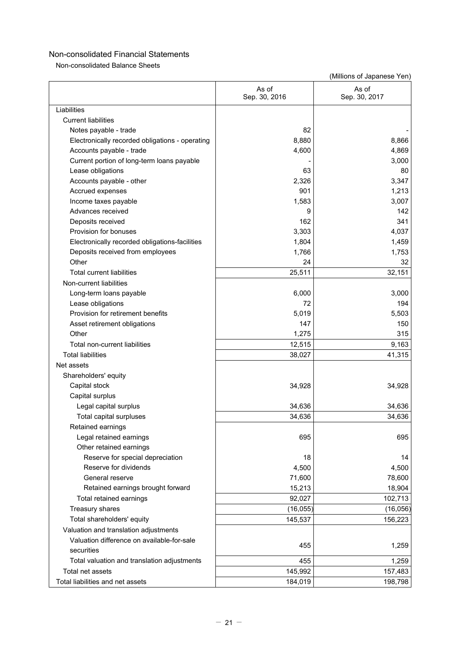Non-consolidated Balance Sheets

|                                                 | As of<br>Sep. 30, 2016 | As of<br>Sep. 30, 2017 |
|-------------------------------------------------|------------------------|------------------------|
| Liabilities                                     |                        |                        |
| <b>Current liabilities</b>                      |                        |                        |
| Notes payable - trade                           | 82                     |                        |
| Electronically recorded obligations - operating | 8,880                  | 8,866                  |
| Accounts payable - trade                        | 4,600                  | 4,869                  |
| Current portion of long-term loans payable      |                        | 3,000                  |
| Lease obligations                               | 63                     | 80                     |
| Accounts payable - other                        | 2,326                  | 3,347                  |
| Accrued expenses                                | 901                    | 1,213                  |
| Income taxes payable                            | 1,583                  | 3,007                  |
| Advances received                               | 9                      | 142                    |
| Deposits received                               | 162                    | 341                    |
| Provision for bonuses                           | 3,303                  | 4,037                  |
| Electronically recorded obligations-facilities  | 1,804                  | 1,459                  |
| Deposits received from employees                | 1,766                  | 1,753                  |
| Other                                           | 24                     | 32                     |
| <b>Total current liabilities</b>                | 25,511                 | 32,151                 |
| Non-current liabilities                         |                        |                        |
| Long-term loans payable                         | 6,000                  | 3,000                  |
| Lease obligations                               | 72                     | 194                    |
| Provision for retirement benefits               | 5,019                  | 5,503                  |
| Asset retirement obligations                    | 147                    | 150                    |
| Other                                           | 1,275                  | 315                    |
| Total non-current liabilities                   | 12,515                 | 9,163                  |
| <b>Total liabilities</b>                        | 38,027                 | 41,315                 |
| Net assets                                      |                        |                        |
| Shareholders' equity                            |                        |                        |
| Capital stock                                   | 34,928                 | 34,928                 |
| Capital surplus                                 |                        |                        |
| Legal capital surplus                           | 34,636                 | 34,636                 |
| Total capital surpluses                         | 34,636                 | 34,636                 |
| Retained earnings                               |                        |                        |
| Legal retained earnings                         | 695                    | 695                    |
| Other retained earnings                         |                        |                        |
| Reserve for special depreciation                | 18                     | 14                     |
| Reserve for dividends                           | 4,500                  | 4,500                  |
| General reserve                                 | 71,600                 | 78,600                 |
| Retained earnings brought forward               | 15,213                 | 18,904                 |
| Total retained earnings                         | 92,027                 | 102,713                |
| Treasury shares                                 | (16, 055)              | (16, 056)              |
| Total shareholders' equity                      | 145,537                | 156,223                |
| Valuation and translation adjustments           |                        |                        |
| Valuation difference on available-for-sale      |                        |                        |
| securities                                      | 455                    | 1,259                  |
| Total valuation and translation adjustments     | 455                    | 1,259                  |
| Total net assets                                | 145,992                | 157,483                |
| Total liabilities and net assets                | 184,019                | 198,798                |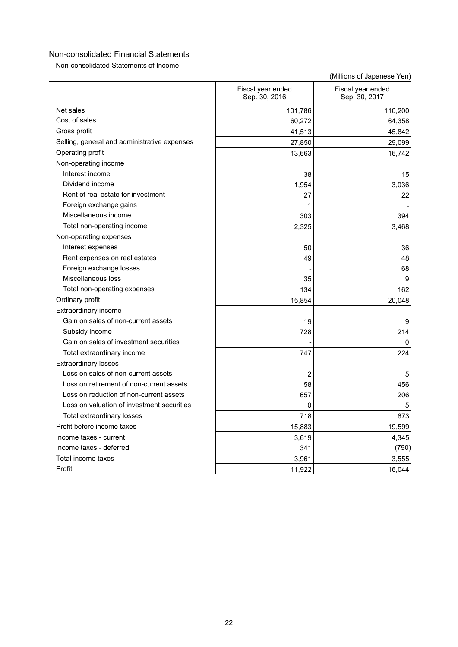Non-consolidated Statements of Income

|                                              | Fiscal year ended<br>Sep. 30, 2016 | Fiscal year ended<br>Sep. 30, 2017 |
|----------------------------------------------|------------------------------------|------------------------------------|
| Net sales                                    | 101,786                            | 110,200                            |
| Cost of sales                                | 60,272                             | 64,358                             |
| Gross profit                                 | 41,513                             | 45,842                             |
| Selling, general and administrative expenses | 27,850                             | 29,099                             |
| Operating profit                             | 13,663                             | 16,742                             |
| Non-operating income                         |                                    |                                    |
| Interest income                              | 38                                 | 15                                 |
| Dividend income                              | 1,954                              | 3,036                              |
| Rent of real estate for investment           | 27                                 | 22                                 |
| Foreign exchange gains                       | 1                                  |                                    |
| Miscellaneous income                         | 303                                | 394                                |
| Total non-operating income                   | 2,325                              | 3,468                              |
| Non-operating expenses                       |                                    |                                    |
| Interest expenses                            | 50                                 | 36                                 |
| Rent expenses on real estates                | 49                                 | 48                                 |
| Foreign exchange losses                      |                                    | 68                                 |
| Miscellaneous loss                           | 35                                 |                                    |
| Total non-operating expenses                 | 134                                | 162                                |
| Ordinary profit                              | 15,854                             | 20,048                             |
| Extraordinary income                         |                                    |                                    |
| Gain on sales of non-current assets          | 19                                 | 9                                  |
| Subsidy income                               | 728                                | 214                                |
| Gain on sales of investment securities       |                                    | 0                                  |
| Total extraordinary income                   | 747                                | 224                                |
| <b>Extraordinary losses</b>                  |                                    |                                    |
| Loss on sales of non-current assets          | 2                                  | 5                                  |
| Loss on retirement of non-current assets     | 58                                 | 456                                |
| Loss on reduction of non-current assets      | 657                                | 206                                |
| Loss on valuation of investment securities   | 0                                  | 5                                  |
| Total extraordinary losses                   | 718                                | 673                                |
| Profit before income taxes                   | 15,883                             | 19,599                             |
| Income taxes - current                       | 3,619                              | 4,345                              |
| Income taxes - deferred                      | 341                                | (790)                              |
| Total income taxes                           | 3,961                              | 3,555                              |
| Profit                                       | 11,922                             | 16,044                             |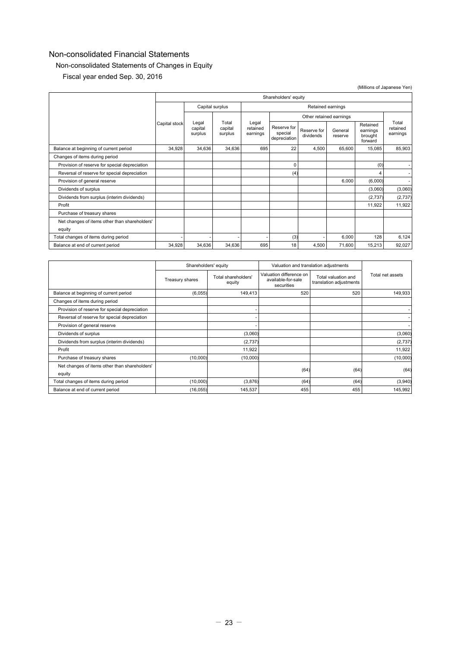# Non-consolidated Statements of Changes in Equity

Fiscal year ended Sep. 30, 2016

|                                                         | Shareholders' equity |                                                            |        |                               |                                        |                          |                    |                                            |                               |
|---------------------------------------------------------|----------------------|------------------------------------------------------------|--------|-------------------------------|----------------------------------------|--------------------------|--------------------|--------------------------------------------|-------------------------------|
|                                                         |                      | Capital surplus<br>Retained earnings                       |        |                               |                                        |                          |                    |                                            |                               |
|                                                         |                      | Total<br>Legal<br>capital<br>capital<br>surplus<br>surplus |        |                               | Other retained earnings                |                          |                    |                                            |                               |
|                                                         | Capital stock        |                                                            |        | Legal<br>retained<br>earnings | Reserve for<br>special<br>depreciation | Reserve for<br>dividends | General<br>reserve | Retained<br>earnings<br>brought<br>forward | Total<br>retained<br>earnings |
| Balance at beginning of current period                  | 34,928               | 34,636                                                     | 34,636 | 695                           | 22                                     | 4,500                    | 65,600             | 15,085                                     | 85,903                        |
| Changes of items during period                          |                      |                                                            |        |                               |                                        |                          |                    |                                            |                               |
| Provision of reserve for special depreciation           |                      |                                                            |        |                               | $\mathsf{C}$                           |                          |                    | (0)                                        |                               |
| Reversal of reserve for special depreciation            |                      |                                                            |        |                               | (4)                                    |                          |                    | 4                                          | ٠                             |
| Provision of general reserve                            |                      |                                                            |        |                               |                                        |                          | 6,000              | (6,000)                                    | ٠                             |
| Dividends of surplus                                    |                      |                                                            |        |                               |                                        |                          |                    | (3,060)                                    | (3,060)                       |
| Dividends from surplus (interim dividends)              |                      |                                                            |        |                               |                                        |                          |                    | (2,737)                                    | (2,737)                       |
| Profit                                                  |                      |                                                            |        |                               |                                        |                          |                    | 11,922                                     | 11,922                        |
| Purchase of treasury shares                             |                      |                                                            |        |                               |                                        |                          |                    |                                            |                               |
| Net changes of items other than shareholders'<br>equity |                      |                                                            |        |                               |                                        |                          |                    |                                            |                               |
| Total changes of items during period                    |                      |                                                            |        |                               | (3)                                    |                          | 6,000              | 128                                        | 6,124                         |
| Balance at end of current period                        | 34,928               | 34,636                                                     | 34,636 | 695                           | 18                                     | 4,500                    | 71,600             | 15,213                                     | 92,027                        |

|                                                         | Shareholders' equity |                               | Valuation and translation adjustments                       |                                                |                  |
|---------------------------------------------------------|----------------------|-------------------------------|-------------------------------------------------------------|------------------------------------------------|------------------|
|                                                         | Treasury shares      | Total shareholders'<br>equity | Valuation difference on<br>available-for-sale<br>securities | Total valuation and<br>translation adjustments | Total net assets |
| Balance at beginning of current period                  | (6,055)              | 149,413                       | 520                                                         | 520                                            | 149,933          |
| Changes of items during period                          |                      |                               |                                                             |                                                |                  |
| Provision of reserve for special depreciation           |                      |                               |                                                             |                                                |                  |
| Reversal of reserve for special depreciation            |                      |                               |                                                             |                                                |                  |
| Provision of general reserve                            |                      |                               |                                                             |                                                |                  |
| Dividends of surplus                                    |                      | (3,060)                       |                                                             |                                                | (3,060)          |
| Dividends from surplus (interim dividends)              |                      | (2,737)                       |                                                             |                                                | (2,737)          |
| Profit                                                  |                      | 11,922                        |                                                             |                                                | 11,922           |
| Purchase of treasury shares                             | (10,000)             | (10,000)                      |                                                             |                                                | (10,000)         |
| Net changes of items other than shareholders'<br>equity |                      |                               | (64)                                                        | (64)                                           | (64)             |
| Total changes of items during period                    | (10,000)             | (3,876)                       | (64)                                                        | (64)                                           | (3,940)          |
| Balance at end of current period                        | (16, 055)            | 145,537                       | 455                                                         | 455                                            | 145,992          |